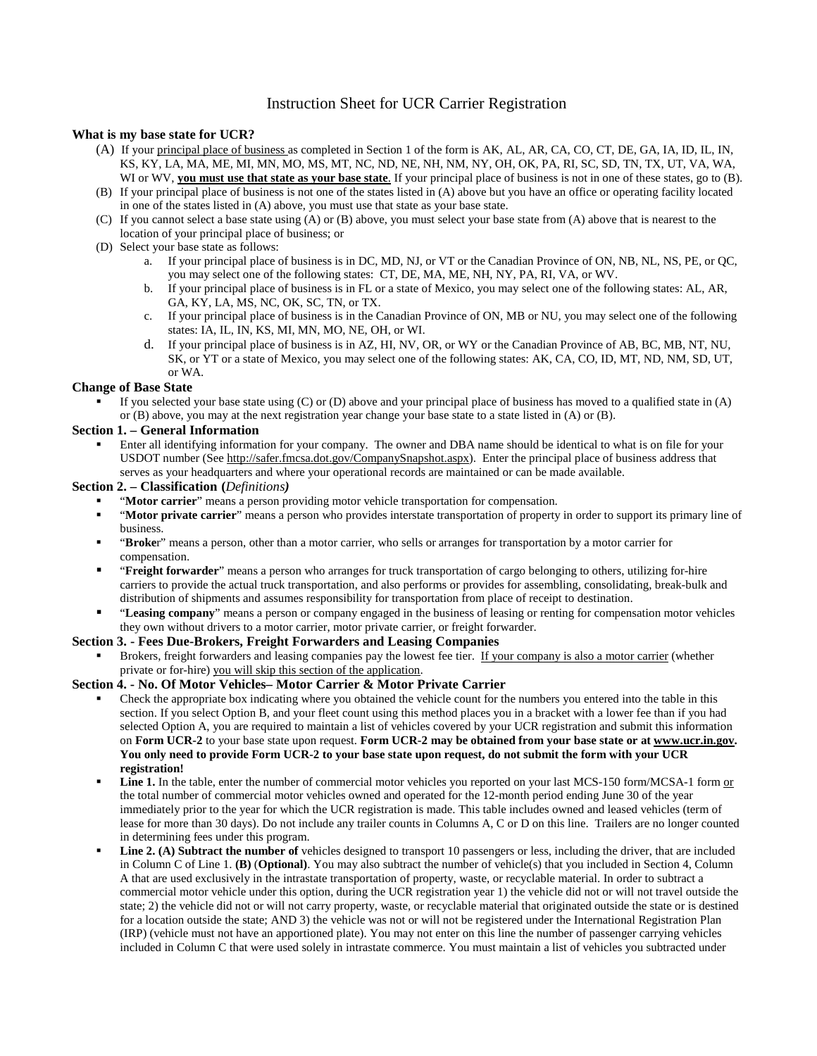# Instruction Sheet for UCR Carrier Registration

## **What is my base state for UCR?**

- (A) If your principal place of business as completed in Section 1 of the form is AK, AL, AR, CA, CO, CT, DE, GA, IA, ID, IL, IN, KS, KY, LA, MA, ME, MI, MN, MO, MS, MT, NC, ND, NE, NH, NM, NY, OH, OK, PA, RI, SC, SD, TN, TX, UT, VA, WA, WI or WV, **you must use that state as your base state**. If your principal place of business is not in one of these states, go to (B).
- (B) If your principal place of business is not one of the states listed in (A) above but you have an office or operating facility located in one of the states listed in (A) above, you must use that state as your base state.
- (C) If you cannot select a base state using (A) or (B) above, you must select your base state from (A) above that is nearest to the location of your principal place of business; or
- (D) Select your base state as follows:
	- a. If your principal place of business is in DC, MD, NJ, or VT or the Canadian Province of ON, NB, NL, NS, PE, or QC, you may select one of the following states: CT, DE, MA, ME, NH, NY, PA, RI, VA, or WV.
	- b. If your principal place of business is in FL or a state of Mexico, you may select one of the following states: AL, AR, GA, KY, LA, MS, NC, OK, SC, TN, or TX.
	- c. If your principal place of business is in the Canadian Province of ON, MB or NU, you may select one of the following states: IA, IL, IN, KS, MI, MN, MO, NE, OH, or WI.
	- d. If your principal place of business is in AZ, HI, NV, OR, or WY or the Canadian Province of AB, BC, MB, NT, NU, SK, or YT or a state of Mexico, you may select one of the following states: AK, CA, CO, ID, MT, ND, NM, SD, UT, or WA.

#### **Change of Base State**

 If you selected your base state using (C) or (D) above and your principal place of business has moved to a qualified state in (A) or (B) above, you may at the next registration year change your base state to a state listed in (A) or (B).

#### **Section 1. – General Information**

 Enter all identifying information for your company. The owner and DBA name should be identical to what is on file for your USDOT number (See http://safer.fmcsa.dot.gov/CompanySnapshot.aspx). Enter the principal place of business address that serves as your headquarters and where your operational records are maintained or can be made available.

#### **Section 2. – Classification (***Definitions)*

- "**Motor carrier**" means a person providing motor vehicle transportation for compensation.
- "**Motor private carrier**" means a person who provides interstate transportation of property in order to support its primary line of business.
- "**Broke**r" means a person, other than a motor carrier, who sells or arranges for transportation by a motor carrier for compensation.
- "**Freight forwarder**" means a person who arranges for truck transportation of cargo belonging to others, utilizing for-hire carriers to provide the actual truck transportation, and also performs or provides for assembling, consolidating, break-bulk and distribution of shipments and assumes responsibility for transportation from place of receipt to destination.
- "**Leasing company**" means a person or company engaged in the business of leasing or renting for compensation motor vehicles they own without drivers to a motor carrier, motor private carrier, or freight forwarder.

#### **Section 3. - Fees Due-Brokers, Freight Forwarders and Leasing Companies**

 Brokers, freight forwarders and leasing companies pay the lowest fee tier. If your company is also a motor carrier (whether private or for-hire) you will skip this section of the application.

# **Section 4. - No. Of Motor Vehicles– Motor Carrier & Motor Private Carrier**

- Check the appropriate box indicating where you obtained the vehicle count for the numbers you entered into the table in this section. If you select Option B, and your fleet count using this method places you in a bracket with a lower fee than if you had selected Option A, you are required to maintain a list of vehicles covered by your UCR registration and submit this information on **Form UCR-2** to your base state upon request. **Form UCR-2 may be obtained from your base state or at www.ucr.in.gov. You only need to provide Form UCR-2 to your base state upon request, do not submit the form with your UCR registration!**
- Line 1. In the table, enter the number of commercial motor vehicles you reported on your last MCS-150 form/MCSA-1 form or the total number of commercial motor vehicles owned and operated for the 12-month period ending June 30 of the year immediately prior to the year for which the UCR registration is made. This table includes owned and leased vehicles (term of lease for more than 30 days). Do not include any trailer counts in Columns A, C or D on this line. Trailers are no longer counted in determining fees under this program.
- Line 2. (A) Subtract the number of vehicles designed to transport 10 passengers or less, including the driver, that are included in Column C of Line 1. **(B)** (**Optional)**. You may also subtract the number of vehicle(s) that you included in Section 4, Column A that are used exclusively in the intrastate transportation of property, waste, or recyclable material. In order to subtract a commercial motor vehicle under this option, during the UCR registration year 1) the vehicle did not or will not travel outside the state; 2) the vehicle did not or will not carry property, waste, or recyclable material that originated outside the state or is destined for a location outside the state; AND 3) the vehicle was not or will not be registered under the International Registration Plan (IRP) (vehicle must not have an apportioned plate). You may not enter on this line the number of passenger carrying vehicles included in Column C that were used solely in intrastate commerce. You must maintain a list of vehicles you subtracted under